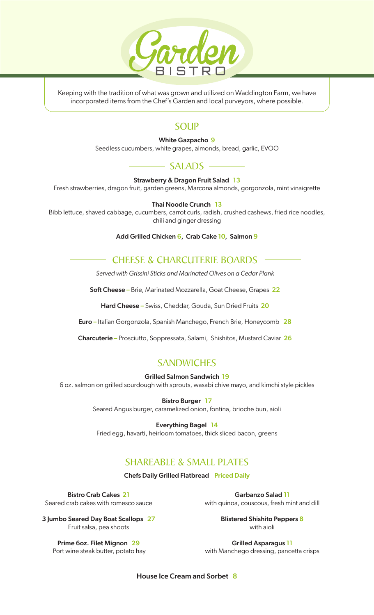

Keeping with the tradition of what was grown and utilized on Waddington Farm, we have incorporated items from the Chef's Garden and local purveyors, where possible.

# $\sim$  SOUP  $\sim$

White Gazpacho 9

Seedless cucumbers, white grapes, almonds, bread, garlic, EVOO

## $\longrightarrow$  SALADS  $\longrightarrow$

Strawberry & Dragon Fruit Salad 13

Fresh strawberries, dragon fruit, garden greens, Marcona almonds, gorgonzola, mint vinaigrette

#### Thai Noodle Crunch 13

Bibb lettuce, shaved cabbage, cucumbers, carrot curls, radish, crushed cashews, fried rice noodles, chili and ginger dressing

Add Grilled Chicken 6, Crab Cake 10, Salmon 9

### CHEESE & CHARCUTERIE BOARDS

*Served with Grissini Sticks and Marinated Olives on a Cedar Plank*

Soft Cheese - Brie, Marinated Mozzarella, Goat Cheese, Grapes 22

Hard Cheese - Swiss, Cheddar, Gouda, Sun Dried Fruits 20

Euro – Italian Gorgonzola, Spanish Manchego, French Brie, Honeycomb 28

Charcuterie – Prosciutto, Soppressata, Salami, Shishitos, Mustard Caviar 26

### -SANDWICHES

Grilled Salmon Sandwich 19

6 oz. salmon on grilled sourdough with sprouts, wasabi chive mayo, and kimchi style pickles

Bistro Burger 17

Seared Angus burger, caramelized onion, fontina, brioche bun, aioli

#### Everything Bagel 14

Fried egg, havarti, heirloom tomatoes, thick sliced bacon, greens

## SHAREABLE & SMALL PLATES

Chefs Daily Grilled Flatbread Priced Daily

Bistro Crab Cakes 21 Seared crab cakes with romesco sauce

Garbanzo Salad 11 with quinoa, couscous, fresh mint and dill

3 Jumbo Seared Day Boat Scallops 27 Fruit salsa, pea shoots

Blistered Shishito Peppers 8 with aioli

Prime 6oz. Filet Mignon 29 Port wine steak butter, potato hay

Grilled Asparagus 11 with Manchego dressing, pancetta crisps

House Ice Cream and Sorbet 8